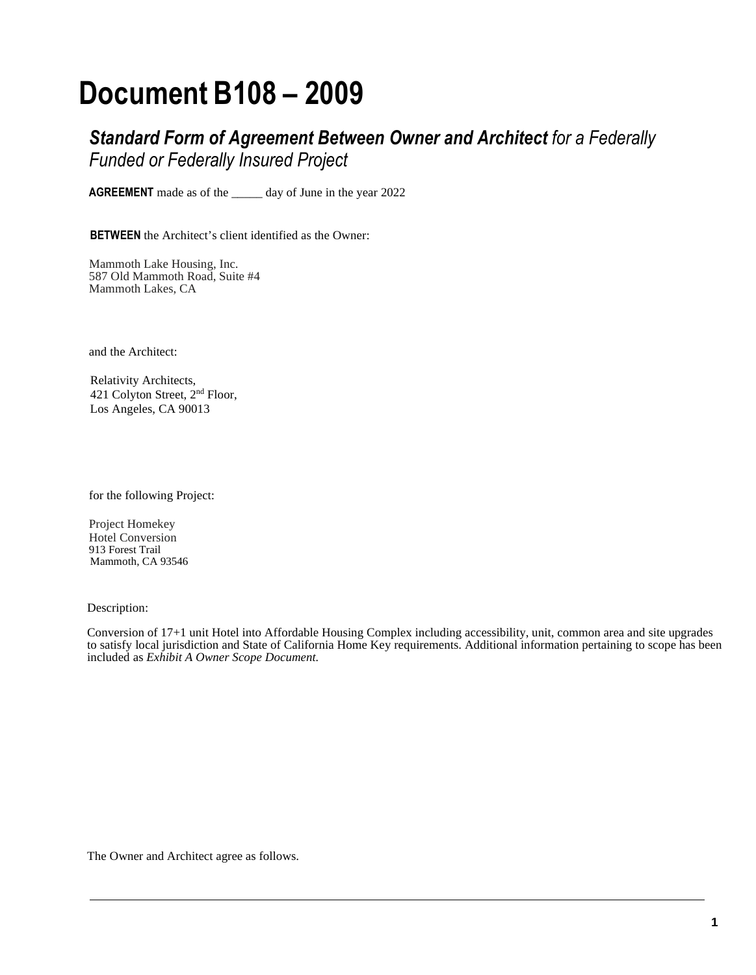# **Document B108 – 2009**

*Standard Form of Agreement Between Owner and Architect for a Federally Funded or Federally Insured Project*

**AGREEMENT** made as of the \_\_\_\_\_ day of June in the year 2022

**BETWEEN** the Architect's client identified as the Owner:

Mammoth Lake Housing, Inc. 587 Old Mammoth Road, Suite #4 Mammoth Lakes, CA

and the Architect:

 Relativity Architects, 421 Colyton Street, 2nd Floor, Los Angeles, CA 90013

for the following Project:

Project Homekey Hotel Conversion 913 Forest Trail Mammoth, CA 93546

Description:

Conversion of 17+1 unit Hotel into Affordable Housing Complex including accessibility, unit, common area and site upgrades to satisfy local jurisdiction and State of California Home Key requirements. Additional information pertaining to scope has been included as *Exhibit A Owner Scope Document.*

The Owner and Architect agree as follows.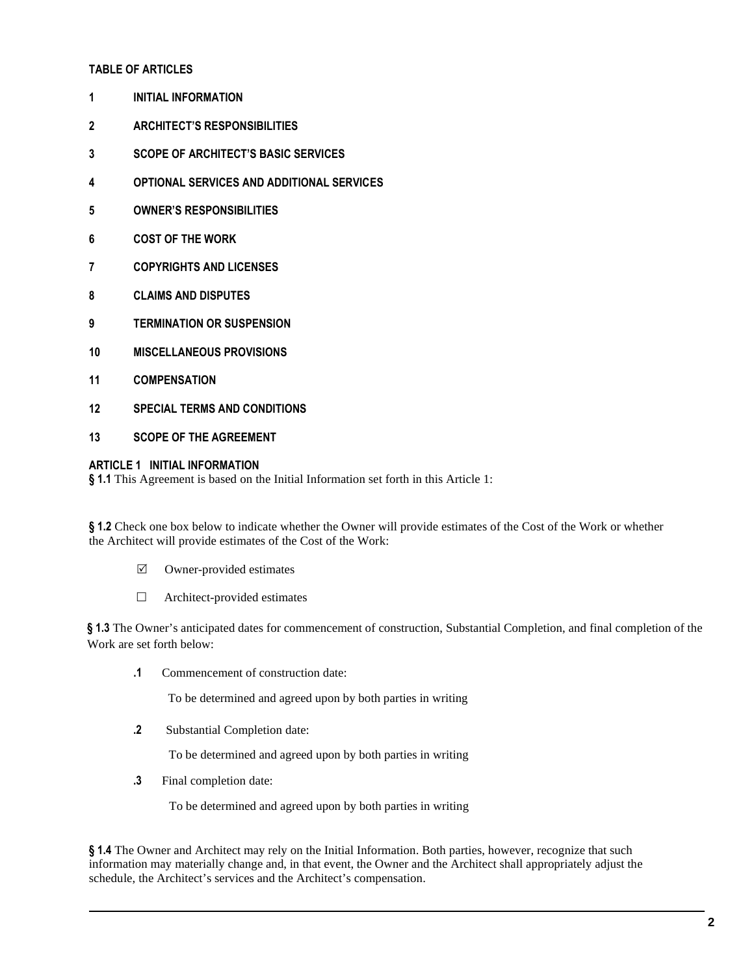# **TABLE OF ARTICLES**

- **1 INITIAL INFORMATION**
- **2 ARCHITECT'S RESPONSIBILITIES**
- **3 SCOPE OF ARCHITECT'S BASIC SERVICES**
- **4 OPTIONAL SERVICES AND ADDITIONAL SERVICES**
- **5 OWNER'S RESPONSIBILITIES**
- **6 COST OF THE WORK**
- **7 COPYRIGHTS AND LICENSES**
- **8 CLAIMS AND DISPUTES**
- **9 TERMINATION OR SUSPENSION**
- **10 MISCELLANEOUS PROVISIONS**
- **11 COMPENSATION**
- **12 SPECIAL TERMS AND CONDITIONS**
- **13 SCOPE OF THE AGREEMENT**

#### **ARTICLE 1 INITIAL INFORMATION**

**§ 1.1** This Agreement is based on the Initial Information set forth in this Article 1:

**§ 1.2** Check one box below to indicate whether the Owner will provide estimates of the Cost of the Work or whether the Architect will provide estimates of the Cost of the Work:

- $\triangledown$  Owner-provided estimates
- $\Box$  Architect-provided estimates

**§ 1.3** The Owner's anticipated dates for commencement of construction, Substantial Completion, and final completion of the Work are set forth below:

**.1** Commencement of construction date:

To be determined and agreed upon by both parties in writing

 **.2** Substantial Completion date:

To be determined and agreed upon by both parties in writing

 **.3** Final completion date:

To be determined and agreed upon by both parties in writing

**§ 1.4** The Owner and Architect may rely on the Initial Information. Both parties, however, recognize that such information may materially change and, in that event, the Owner and the Architect shall appropriately adjust the schedule, the Architect's services and the Architect's compensation.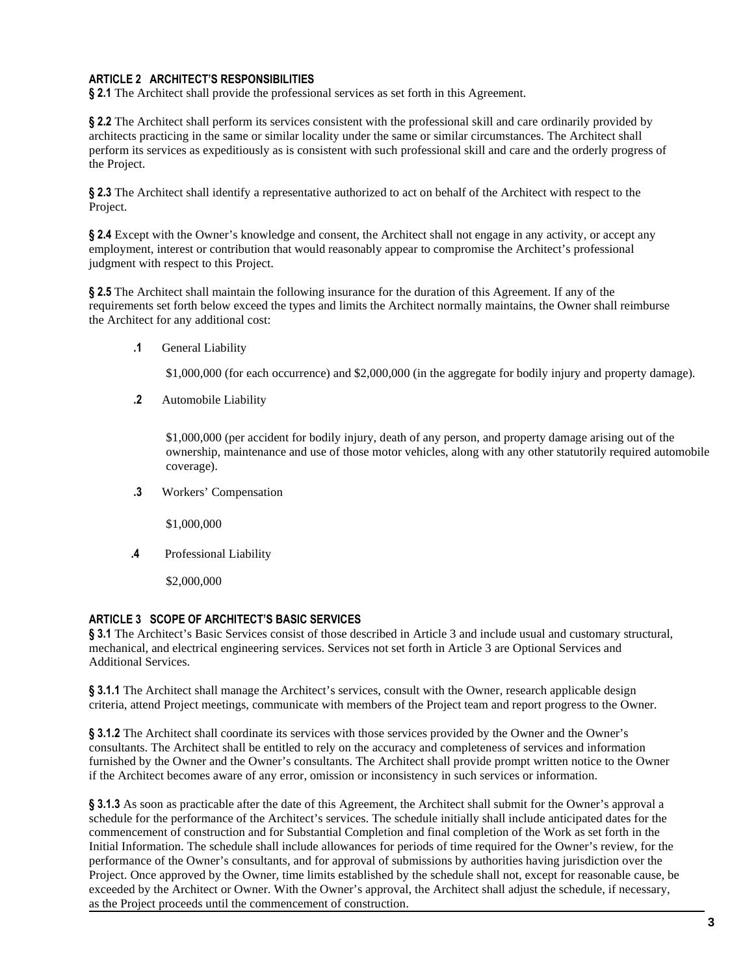# **ARTICLE 2 ARCHITECT'S RESPONSIBILITIES**

**§ 2.1** The Architect shall provide the professional services as set forth in this Agreement.

**§ 2.2** The Architect shall perform its services consistent with the professional skill and care ordinarily provided by architects practicing in the same or similar locality under the same or similar circumstances. The Architect shall perform its services as expeditiously as is consistent with such professional skill and care and the orderly progress of the Project.

**§ 2.3** The Architect shall identify a representative authorized to act on behalf of the Architect with respect to the Project.

**§ 2.4** Except with the Owner's knowledge and consent, the Architect shall not engage in any activity, or accept any employment, interest or contribution that would reasonably appear to compromise the Architect's professional judgment with respect to this Project.

**§ 2.5** The Architect shall maintain the following insurance for the duration of this Agreement. If any of the requirements set forth below exceed the types and limits the Architect normally maintains, the Owner shall reimburse the Architect for any additional cost:

**.1** General Liability

\$1,000,000 (for each occurrence) and \$2,000,000 (in the aggregate for bodily injury and property damage).

**.2** Automobile Liability

\$1,000,000 (per accident for bodily injury, death of any person, and property damage arising out of the ownership, maintenance and use of those motor vehicles, along with any other statutorily required automobile coverage).

**.3** Workers' Compensation

\$1,000,000

**.4** Professional Liability

\$2,000,000

#### **ARTICLE 3 SCOPE OF ARCHITECT'S BASIC SERVICES**

**§ 3.1** The Architect's Basic Services consist of those described in Article 3 and include usual and customary structural, mechanical, and electrical engineering services. Services not set forth in Article 3 are Optional Services and Additional Services.

**§ 3.1.1** The Architect shall manage the Architect's services, consult with the Owner, research applicable design criteria, attend Project meetings, communicate with members of the Project team and report progress to the Owner.

**§ 3.1.2** The Architect shall coordinate its services with those services provided by the Owner and the Owner's consultants. The Architect shall be entitled to rely on the accuracy and completeness of services and information furnished by the Owner and the Owner's consultants. The Architect shall provide prompt written notice to the Owner if the Architect becomes aware of any error, omission or inconsistency in such services or information.

**§ 3.1.3** As soon as practicable after the date of this Agreement, the Architect shall submit for the Owner's approval a schedule for the performance of the Architect's services. The schedule initially shall include anticipated dates for the commencement of construction and for Substantial Completion and final completion of the Work as set forth in the Initial Information. The schedule shall include allowances for periods of time required for the Owner's review, for the performance of the Owner's consultants, and for approval of submissions by authorities having jurisdiction over the Project. Once approved by the Owner, time limits established by the schedule shall not, except for reasonable cause, be exceeded by the Architect or Owner. With the Owner's approval, the Architect shall adjust the schedule, if necessary, as the Project proceeds until the commencement of construction.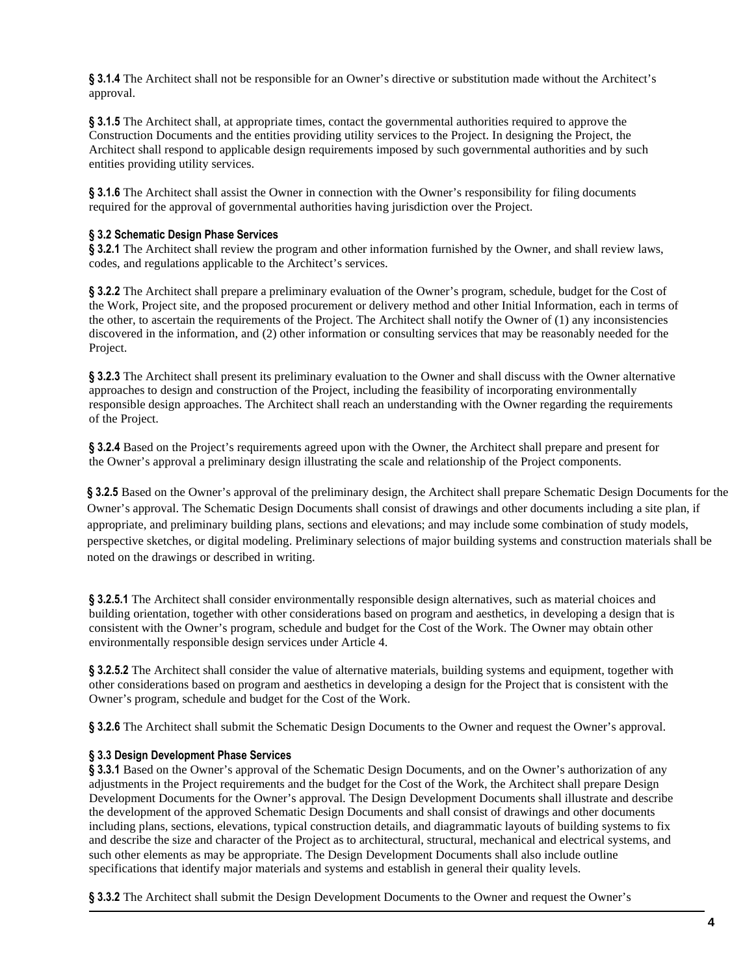**§ 3.1.4** The Architect shall not be responsible for an Owner's directive or substitution made without the Architect's approval.

**§ 3.1.5** The Architect shall, at appropriate times, contact the governmental authorities required to approve the Construction Documents and the entities providing utility services to the Project. In designing the Project, the Architect shall respond to applicable design requirements imposed by such governmental authorities and by such entities providing utility services.

**§ 3.1.6** The Architect shall assist the Owner in connection with the Owner's responsibility for filing documents required for the approval of governmental authorities having jurisdiction over the Project.

## **§ 3.2 Schematic Design Phase Services**

**§ 3.2.1** The Architect shall review the program and other information furnished by the Owner, and shall review laws, codes, and regulations applicable to the Architect's services.

**§ 3.2.2** The Architect shall prepare a preliminary evaluation of the Owner's program, schedule, budget for the Cost of the Work, Project site, and the proposed procurement or delivery method and other Initial Information, each in terms of the other, to ascertain the requirements of the Project. The Architect shall notify the Owner of (1) any inconsistencies discovered in the information, and (2) other information or consulting services that may be reasonably needed for the Project.

**§ 3.2.3** The Architect shall present its preliminary evaluation to the Owner and shall discuss with the Owner alternative approaches to design and construction of the Project, including the feasibility of incorporating environmentally responsible design approaches. The Architect shall reach an understanding with the Owner regarding the requirements of the Project.

**§ 3.2.4** Based on the Project's requirements agreed upon with the Owner, the Architect shall prepare and present for the Owner's approval a preliminary design illustrating the scale and relationship of the Project components.

**§ 3.2.5** Based on the Owner's approval of the preliminary design, the Architect shall prepare Schematic Design Documents for the Owner's approval. The Schematic Design Documents shall consist of drawings and other documents including a site plan, if appropriate, and preliminary building plans, sections and elevations; and may include some combination of study models, perspective sketches, or digital modeling. Preliminary selections of major building systems and construction materials shall be noted on the drawings or described in writing.

**§ 3.2.5.1** The Architect shall consider environmentally responsible design alternatives, such as material choices and building orientation, together with other considerations based on program and aesthetics, in developing a design that is consistent with the Owner's program, schedule and budget for the Cost of the Work. The Owner may obtain other environmentally responsible design services under Article 4.

**§ 3.2.5.2** The Architect shall consider the value of alternative materials, building systems and equipment, together with other considerations based on program and aesthetics in developing a design for the Project that is consistent with the Owner's program, schedule and budget for the Cost of the Work.

**§ 3.2.6** The Architect shall submit the Schematic Design Documents to the Owner and request the Owner's approval.

#### **§ 3.3 Design Development Phase Services**

§ 3.3.1 Based on the Owner's approval of the Schematic Design Documents, and on the Owner's authorization of any adjustments in the Project requirements and the budget for the Cost of the Work, the Architect shall prepare Design Development Documents for the Owner's approval. The Design Development Documents shall illustrate and describe the development of the approved Schematic Design Documents and shall consist of drawings and other documents including plans, sections, elevations, typical construction details, and diagrammatic layouts of building systems to fix and describe the size and character of the Project as to architectural, structural, mechanical and electrical systems, and such other elements as may be appropriate. The Design Development Documents shall also include outline specifications that identify major materials and systems and establish in general their quality levels.

**§ 3.3.2** The Architect shall submit the Design Development Documents to the Owner and request the Owner's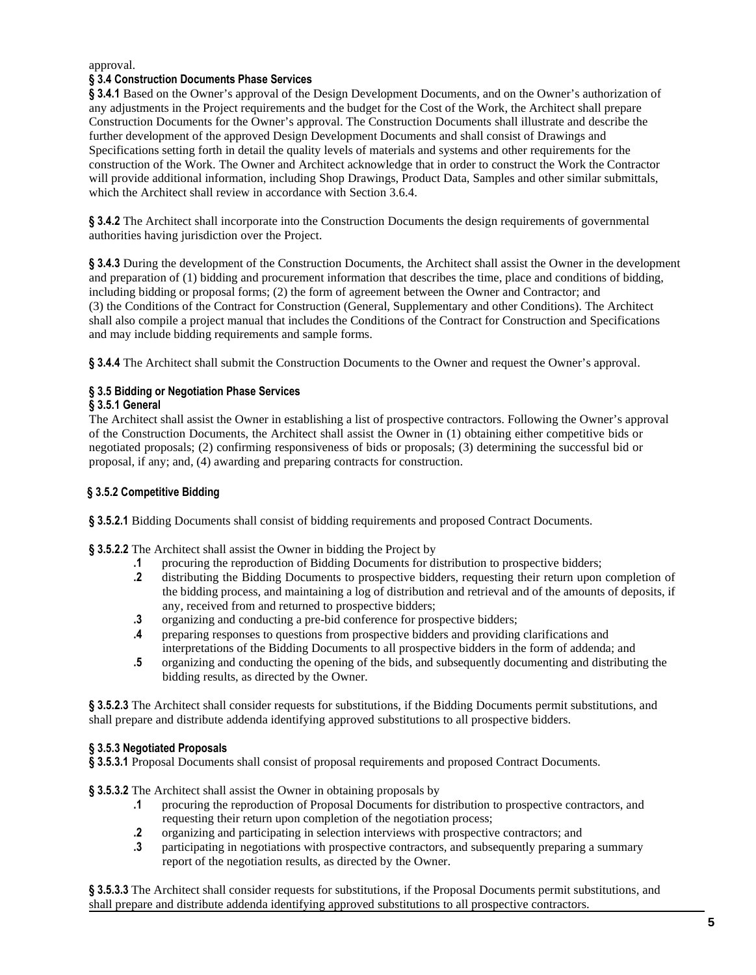### approval.

## **§ 3.4 Construction Documents Phase Services**

**§ 3.4.1** Based on the Owner's approval of the Design Development Documents, and on the Owner's authorization of any adjustments in the Project requirements and the budget for the Cost of the Work, the Architect shall prepare Construction Documents for the Owner's approval. The Construction Documents shall illustrate and describe the further development of the approved Design Development Documents and shall consist of Drawings and Specifications setting forth in detail the quality levels of materials and systems and other requirements for the construction of the Work. The Owner and Architect acknowledge that in order to construct the Work the Contractor will provide additional information, including Shop Drawings, Product Data, Samples and other similar submittals, which the Architect shall review in accordance with Section 3.6.4.

**§ 3.4.2** The Architect shall incorporate into the Construction Documents the design requirements of governmental authorities having jurisdiction over the Project.

**§ 3.4.3** During the development of the Construction Documents, the Architect shall assist the Owner in the development and preparation of (1) bidding and procurement information that describes the time, place and conditions of bidding, including bidding or proposal forms; (2) the form of agreement between the Owner and Contractor; and (3) the Conditions of the Contract for Construction (General, Supplementary and other Conditions). The Architect shall also compile a project manual that includes the Conditions of the Contract for Construction and Specifications and may include bidding requirements and sample forms.

**§ 3.4.4** The Architect shall submit the Construction Documents to the Owner and request the Owner's approval.

# **§ 3.5 Bidding or Negotiation Phase Services**

## **§ 3.5.1 General**

The Architect shall assist the Owner in establishing a list of prospective contractors. Following the Owner's approval of the Construction Documents, the Architect shall assist the Owner in (1) obtaining either competitive bids or negotiated proposals; (2) confirming responsiveness of bids or proposals; (3) determining the successful bid or proposal, if any; and, (4) awarding and preparing contracts for construction.

## **§ 3.5.2 Competitive Bidding**

**§ 3.5.2.1** Bidding Documents shall consist of bidding requirements and proposed Contract Documents.

**§ 3.5.2.2** The Architect shall assist the Owner in bidding the Project by

- **.1** procuring the reproduction of Bidding Documents for distribution to prospective bidders;
- **.2** distributing the Bidding Documents to prospective bidders, requesting their return upon completion of the bidding process, and maintaining a log of distribution and retrieval and of the amounts of deposits, if any, received from and returned to prospective bidders;
- **.3** organizing and conducting a pre-bid conference for prospective bidders;
- **.4** preparing responses to questions from prospective bidders and providing clarifications and interpretations of the Bidding Documents to all prospective bidders in the form of addenda; and
- **.5** organizing and conducting the opening of the bids, and subsequently documenting and distributing the bidding results, as directed by the Owner.

**§ 3.5.2.3** The Architect shall consider requests for substitutions, if the Bidding Documents permit substitutions, and shall prepare and distribute addenda identifying approved substitutions to all prospective bidders.

#### **§ 3.5.3 Negotiated Proposals**

§ 3.5.3.1 Proposal Documents shall consist of proposal requirements and proposed Contract Documents.

**§ 3.5.3.2** The Architect shall assist the Owner in obtaining proposals by

- **.1** procuring the reproduction of Proposal Documents for distribution to prospective contractors, and requesting their return upon completion of the negotiation process;
- **.2** organizing and participating in selection interviews with prospective contractors; and
- **.3** participating in negotiations with prospective contractors, and subsequently preparing a summary report of the negotiation results, as directed by the Owner.

**§ 3.5.3.3** The Architect shall consider requests for substitutions, if the Proposal Documents permit substitutions, and shall prepare and distribute addenda identifying approved substitutions to all prospective contractors.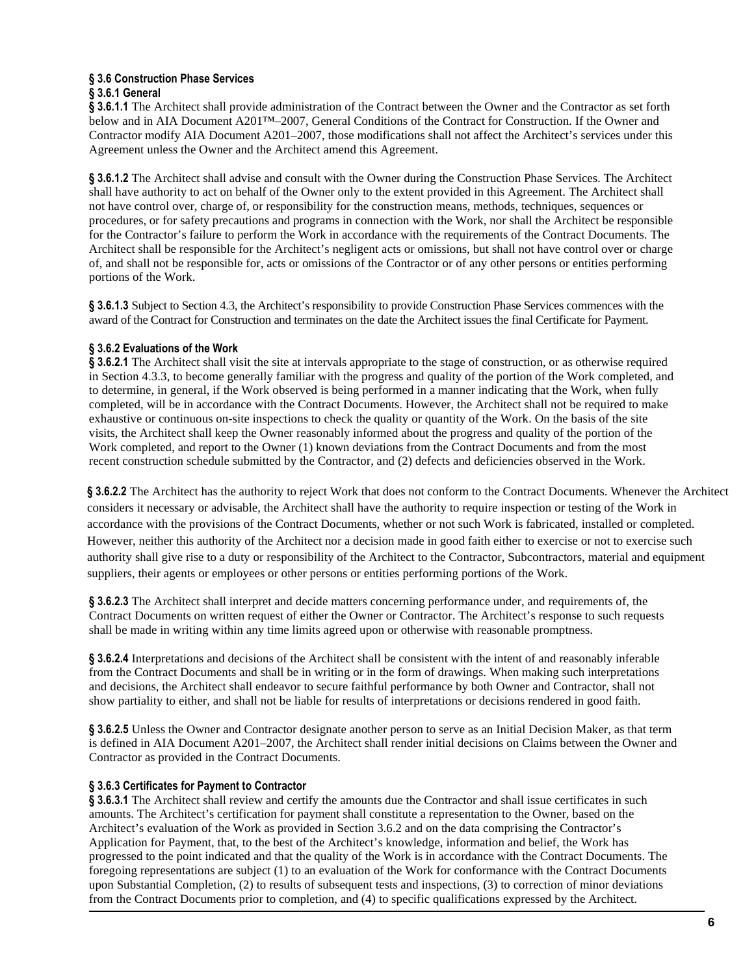#### **§ 3.6 Construction Phase Services § 3.6.1 General**

**§ 3.6.1.1** The Architect shall provide administration of the Contract between the Owner and the Contractor as set forth below and in AIA Document A201™–2007, General Conditions of the Contract for Construction. If the Owner and Contractor modify AIA Document A201–2007, those modifications shall not affect the Architect's services under this Agreement unless the Owner and the Architect amend this Agreement.

**§ 3.6.1.2** The Architect shall advise and consult with the Owner during the Construction Phase Services. The Architect shall have authority to act on behalf of the Owner only to the extent provided in this Agreement. The Architect shall not have control over, charge of, or responsibility for the construction means, methods, techniques, sequences or procedures, or for safety precautions and programs in connection with the Work, nor shall the Architect be responsible for the Contractor's failure to perform the Work in accordance with the requirements of the Contract Documents. The Architect shall be responsible for the Architect's negligent acts or omissions, but shall not have control over or charge of, and shall not be responsible for, acts or omissions of the Contractor or of any other persons or entities performing portions of the Work.

**§ 3.6.1.3** Subject to Section 4.3, the Architect's responsibility to provide Construction Phase Services commences with the award of the Contract for Construction and terminates on the date the Architect issues the final Certificate for Payment.

# **§ 3.6.2 Evaluations of the Work**

**§ 3.6.2.1** The Architect shall visit the site at intervals appropriate to the stage of construction, or as otherwise required in Section 4.3.3, to become generally familiar with the progress and quality of the portion of the Work completed, and to determine, in general, if the Work observed is being performed in a manner indicating that the Work, when fully completed, will be in accordance with the Contract Documents. However, the Architect shall not be required to make exhaustive or continuous on-site inspections to check the quality or quantity of the Work. On the basis of the site visits, the Architect shall keep the Owner reasonably informed about the progress and quality of the portion of the Work completed, and report to the Owner (1) known deviations from the Contract Documents and from the most recent construction schedule submitted by the Contractor, and (2) defects and deficiencies observed in the Work.

**§ 3.6.2.2** The Architect has the authority to reject Work that does not conform to the Contract Documents. Whenever the Architect considers it necessary or advisable, the Architect shall have the authority to require inspection or testing of the Work in accordance with the provisions of the Contract Documents, whether or not such Work is fabricated, installed or completed. However, neither this authority of the Architect nor a decision made in good faith either to exercise or not to exercise such authority shall give rise to a duty or responsibility of the Architect to the Contractor, Subcontractors, material and equipment suppliers, their agents or employees or other persons or entities performing portions of the Work.

**§ 3.6.2.3** The Architect shall interpret and decide matters concerning performance under, and requirements of, the Contract Documents on written request of either the Owner or Contractor. The Architect's response to such requests shall be made in writing within any time limits agreed upon or otherwise with reasonable promptness.

**§ 3.6.2.4** Interpretations and decisions of the Architect shall be consistent with the intent of and reasonably inferable from the Contract Documents and shall be in writing or in the form of drawings. When making such interpretations and decisions, the Architect shall endeavor to secure faithful performance by both Owner and Contractor, shall not show partiality to either, and shall not be liable for results of interpretations or decisions rendered in good faith.

**§ 3.6.2.5** Unless the Owner and Contractor designate another person to serve as an Initial Decision Maker, as that term is defined in AIA Document A201–2007, the Architect shall render initial decisions on Claims between the Owner and Contractor as provided in the Contract Documents.

# **§ 3.6.3 Certificates for Payment to Contractor**

**§ 3.6.3.1** The Architect shall review and certify the amounts due the Contractor and shall issue certificates in such amounts. The Architect's certification for payment shall constitute a representation to the Owner, based on the Architect's evaluation of the Work as provided in Section 3.6.2 and on the data comprising the Contractor's Application for Payment, that, to the best of the Architect's knowledge, information and belief, the Work has progressed to the point indicated and that the quality of the Work is in accordance with the Contract Documents. The foregoing representations are subject (1) to an evaluation of the Work for conformance with the Contract Documents upon Substantial Completion, (2) to results of subsequent tests and inspections, (3) to correction of minor deviations from the Contract Documents prior to completion, and (4) to specific qualifications expressed by the Architect.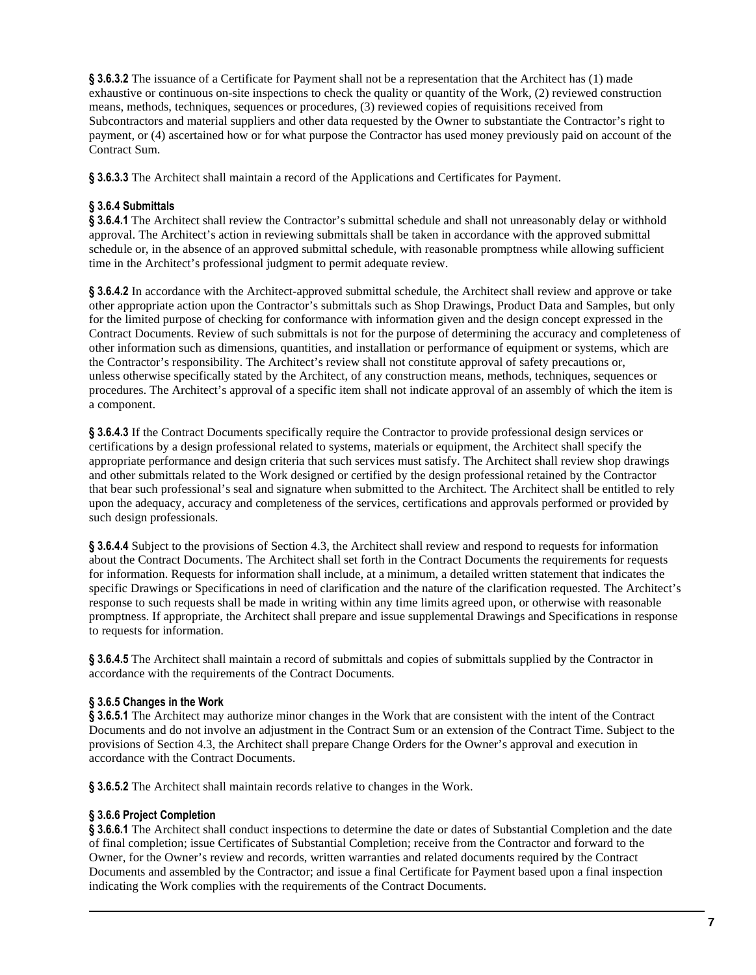**§ 3.6.3.2** The issuance of a Certificate for Payment shall not be a representation that the Architect has (1) made exhaustive or continuous on-site inspections to check the quality or quantity of the Work, (2) reviewed construction means, methods, techniques, sequences or procedures, (3) reviewed copies of requisitions received from Subcontractors and material suppliers and other data requested by the Owner to substantiate the Contractor's right to payment, or (4) ascertained how or for what purpose the Contractor has used money previously paid on account of the Contract Sum.

**§ 3.6.3.3** The Architect shall maintain a record of the Applications and Certificates for Payment.

# **§ 3.6.4 Submittals**

**§ 3.6.4.1** The Architect shall review the Contractor's submittal schedule and shall not unreasonably delay or withhold approval. The Architect's action in reviewing submittals shall be taken in accordance with the approved submittal schedule or, in the absence of an approved submittal schedule, with reasonable promptness while allowing sufficient time in the Architect's professional judgment to permit adequate review.

**§ 3.6.4.2** In accordance with the Architect-approved submittal schedule, the Architect shall review and approve or take other appropriate action upon the Contractor's submittals such as Shop Drawings, Product Data and Samples, but only for the limited purpose of checking for conformance with information given and the design concept expressed in the Contract Documents. Review of such submittals is not for the purpose of determining the accuracy and completeness of other information such as dimensions, quantities, and installation or performance of equipment or systems, which are the Contractor's responsibility. The Architect's review shall not constitute approval of safety precautions or, unless otherwise specifically stated by the Architect, of any construction means, methods, techniques, sequences or procedures. The Architect's approval of a specific item shall not indicate approval of an assembly of which the item is a component.

**§ 3.6.4.3** If the Contract Documents specifically require the Contractor to provide professional design services or certifications by a design professional related to systems, materials or equipment, the Architect shall specify the appropriate performance and design criteria that such services must satisfy. The Architect shall review shop drawings and other submittals related to the Work designed or certified by the design professional retained by the Contractor that bear such professional's seal and signature when submitted to the Architect. The Architect shall be entitled to rely upon the adequacy, accuracy and completeness of the services, certifications and approvals performed or provided by such design professionals.

**§ 3.6.4.4** Subject to the provisions of Section 4.3, the Architect shall review and respond to requests for information about the Contract Documents. The Architect shall set forth in the Contract Documents the requirements for requests for information. Requests for information shall include, at a minimum, a detailed written statement that indicates the specific Drawings or Specifications in need of clarification and the nature of the clarification requested. The Architect's response to such requests shall be made in writing within any time limits agreed upon, or otherwise with reasonable promptness. If appropriate, the Architect shall prepare and issue supplemental Drawings and Specifications in response to requests for information.

**§ 3.6.4.5** The Architect shall maintain a record of submittals and copies of submittals supplied by the Contractor in accordance with the requirements of the Contract Documents.

# **§ 3.6.5 Changes in the Work**

**§ 3.6.5.1** The Architect may authorize minor changes in the Work that are consistent with the intent of the Contract Documents and do not involve an adjustment in the Contract Sum or an extension of the Contract Time. Subject to the provisions of Section 4.3, the Architect shall prepare Change Orders for the Owner's approval and execution in accordance with the Contract Documents.

**§ 3.6.5.2** The Architect shall maintain records relative to changes in the Work.

# **§ 3.6.6 Project Completion**

**§ 3.6.6.1** The Architect shall conduct inspections to determine the date or dates of Substantial Completion and the date of final completion; issue Certificates of Substantial Completion; receive from the Contractor and forward to the Owner, for the Owner's review and records, written warranties and related documents required by the Contract Documents and assembled by the Contractor; and issue a final Certificate for Payment based upon a final inspection indicating the Work complies with the requirements of the Contract Documents.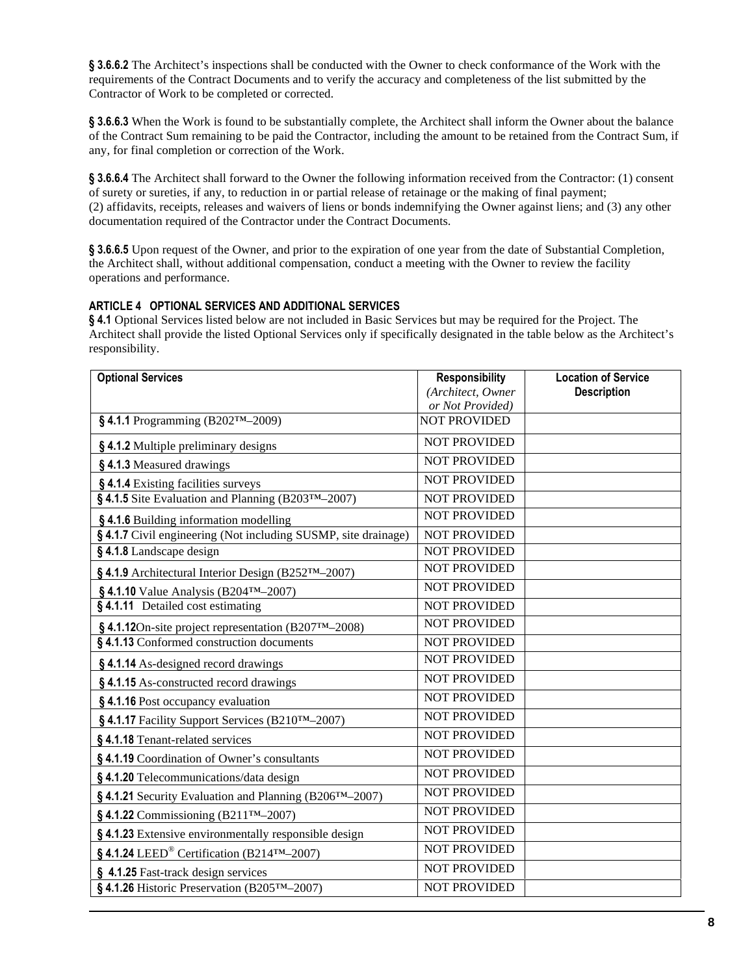**§ 3.6.6.2** The Architect's inspections shall be conducted with the Owner to check conformance of the Work with the requirements of the Contract Documents and to verify the accuracy and completeness of the list submitted by the Contractor of Work to be completed or corrected.

**§ 3.6.6.3** When the Work is found to be substantially complete, the Architect shall inform the Owner about the balance of the Contract Sum remaining to be paid the Contractor, including the amount to be retained from the Contract Sum, if any, for final completion or correction of the Work.

**§ 3.6.6.4** The Architect shall forward to the Owner the following information received from the Contractor: (1) consent of surety or sureties, if any, to reduction in or partial release of retainage or the making of final payment; (2) affidavits, receipts, releases and waivers of liens or bonds indemnifying the Owner against liens; and (3) any other documentation required of the Contractor under the Contract Documents.

**§ 3.6.6.5** Upon request of the Owner, and prior to the expiration of one year from the date of Substantial Completion, the Architect shall, without additional compensation, conduct a meeting with the Owner to review the facility operations and performance.

# **ARTICLE 4 OPTIONAL SERVICES AND ADDITIONAL SERVICES**

**§ 4.1** Optional Services listed below are not included in Basic Services but may be required for the Project. The Architect shall provide the listed Optional Services only if specifically designated in the table below as the Architect's responsibility.

| <b>Optional Services</b>                                             | <b>Responsibility</b> | <b>Location of Service</b> |
|----------------------------------------------------------------------|-----------------------|----------------------------|
|                                                                      | (Architect, Owner     | <b>Description</b>         |
|                                                                      | or Not Provided)      |                            |
| §4.1.1 Programming (B202™–2009)                                      | <b>NOT PROVIDED</b>   |                            |
| §4.1.2 Multiple preliminary designs                                  | <b>NOT PROVIDED</b>   |                            |
| §4.1.3 Measured drawings                                             | <b>NOT PROVIDED</b>   |                            |
| §4.1.4 Existing facilities surveys                                   | <b>NOT PROVIDED</b>   |                            |
| §4.1.5 Site Evaluation and Planning (B203™–2007)                     | <b>NOT PROVIDED</b>   |                            |
| §4.1.6 Building information modelling                                | <b>NOT PROVIDED</b>   |                            |
| §4.1.7 Civil engineering (Not including SUSMP, site drainage)        | <b>NOT PROVIDED</b>   |                            |
| §4.1.8 Landscape design                                              | <b>NOT PROVIDED</b>   |                            |
| § 4.1.9 Architectural Interior Design (B252TM-2007)                  | <b>NOT PROVIDED</b>   |                            |
| § 4.1.10 Value Analysis (B204 <sup>TM</sup> -2007)                   | <b>NOT PROVIDED</b>   |                            |
| §4.1.11 Detailed cost estimating                                     | <b>NOT PROVIDED</b>   |                            |
| §4.1.12On-site project representation (B207™–2008)                   | <b>NOT PROVIDED</b>   |                            |
| §4.1.13 Conformed construction documents                             | <b>NOT PROVIDED</b>   |                            |
| §4.1.14 As-designed record drawings                                  | <b>NOT PROVIDED</b>   |                            |
| §4.1.15 As-constructed record drawings                               | <b>NOT PROVIDED</b>   |                            |
| §4.1.16 Post occupancy evaluation                                    | <b>NOT PROVIDED</b>   |                            |
| §4.1.17 Facility Support Services (B210TM-2007)                      | <b>NOT PROVIDED</b>   |                            |
| §4.1.18 Tenant-related services                                      | <b>NOT PROVIDED</b>   |                            |
| §4.1.19 Coordination of Owner's consultants                          | <b>NOT PROVIDED</b>   |                            |
| §4.1.20 Telecommunications/data design                               | <b>NOT PROVIDED</b>   |                            |
| § 4.1.21 Security Evaluation and Planning (B206 <sup>TM</sup> -2007) | <b>NOT PROVIDED</b>   |                            |
| $§$ 4.1.22 Commissioning (B211 <sup>TM</sup> -2007)                  | <b>NOT PROVIDED</b>   |                            |
| §4.1.23 Extensive environmentally responsible design                 | <b>NOT PROVIDED</b>   |                            |
| §4.1.24 LEED® Certification (B214 <sup>TM</sup> -2007)               | <b>NOT PROVIDED</b>   |                            |
| § 4.1.25 Fast-track design services                                  | <b>NOT PROVIDED</b>   |                            |
| §4.1.26 Historic Preservation (B205 <sup>TM</sup> -2007)             | <b>NOT PROVIDED</b>   |                            |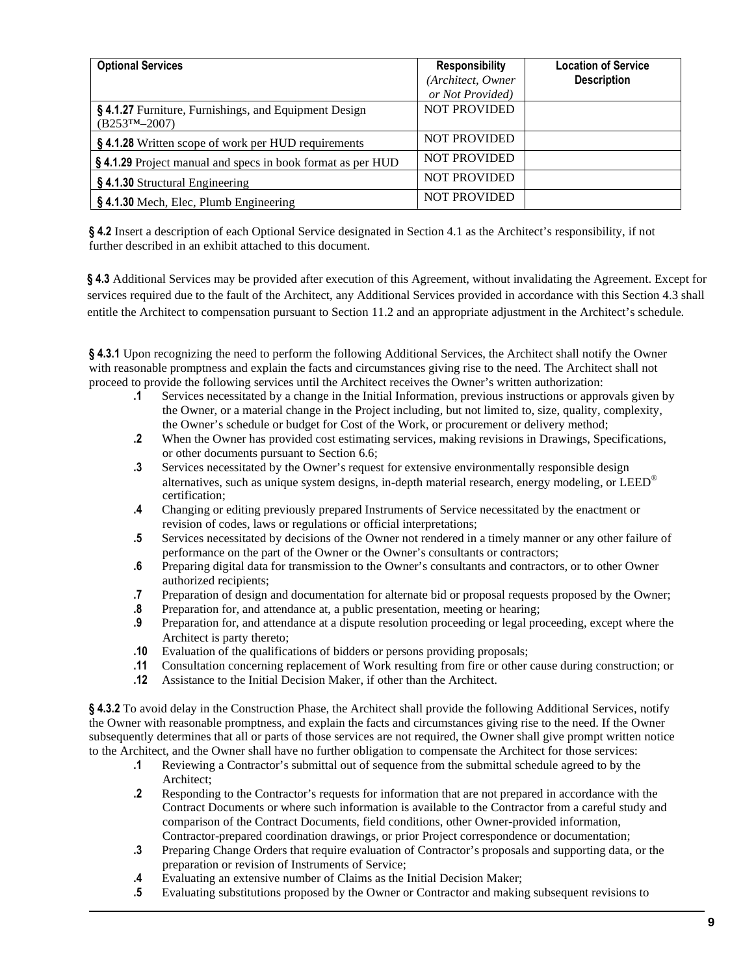| <b>Optional Services</b>                                                | <b>Responsibility</b><br>(Architect, Owner<br>or Not Provided) | <b>Location of Service</b><br><b>Description</b> |
|-------------------------------------------------------------------------|----------------------------------------------------------------|--------------------------------------------------|
| §4.1.27 Furniture, Furnishings, and Equipment Design<br>$(B253TM-2007)$ | <b>NOT PROVIDED</b>                                            |                                                  |
| §4.1.28 Written scope of work per HUD requirements                      | <b>NOT PROVIDED</b>                                            |                                                  |
| <b>§4.1.29</b> Project manual and specs in book format as per HUD       | <b>NOT PROVIDED</b>                                            |                                                  |
| §4.1.30 Structural Engineering                                          | <b>NOT PROVIDED</b>                                            |                                                  |
| $\frac{1}{2}$ \$4.1.30 Mech, Elec, Plumb Engineering                    | <b>NOT PROVIDED</b>                                            |                                                  |

**§ 4.2** Insert a description of each Optional Service designated in Section 4.1 as the Architect's responsibility, if not further described in an exhibit attached to this document.

**§ 4.3** Additional Services may be provided after execution of this Agreement, without invalidating the Agreement. Except for services required due to the fault of the Architect, any Additional Services provided in accordance with this Section 4.3 shall entitle the Architect to compensation pursuant to Section 11.2 and an appropriate adjustment in the Architect's schedule.

**§ 4.3.1** Upon recognizing the need to perform the following Additional Services, the Architect shall notify the Owner with reasonable promptness and explain the facts and circumstances giving rise to the need. The Architect shall not proceed to provide the following services until the Architect receives the Owner's written authorization:

- **.1** Services necessitated by a change in the Initial Information, previous instructions or approvals given by the Owner, or a material change in the Project including, but not limited to, size, quality, complexity, the Owner's schedule or budget for Cost of the Work, or procurement or delivery method;
- **.2** When the Owner has provided cost estimating services, making revisions in Drawings, Specifications, or other documents pursuant to Section 6.6;
- **.3** Services necessitated by the Owner's request for extensive environmentally responsible design alternatives, such as unique system designs, in-depth material research, energy modeling, or  $LEID^{\circledast}$ certification;
- **.4** Changing or editing previously prepared Instruments of Service necessitated by the enactment or revision of codes, laws or regulations or official interpretations;
- **.5** Services necessitated by decisions of the Owner not rendered in a timely manner or any other failure of performance on the part of the Owner or the Owner's consultants or contractors;
- **.6** Preparing digital data for transmission to the Owner's consultants and contractors, or to other Owner authorized recipients;
- **.7** Preparation of design and documentation for alternate bid or proposal requests proposed by the Owner;
- **.8** Preparation for, and attendance at, a public presentation, meeting or hearing;
- **.9** Preparation for, and attendance at a dispute resolution proceeding or legal proceeding, except where the Architect is party thereto;
- **.10** Evaluation of the qualifications of bidders or persons providing proposals;
- **.11** Consultation concerning replacement of Work resulting from fire or other cause during construction; or
- **.12** Assistance to the Initial Decision Maker, if other than the Architect.

**§ 4.3.2** To avoid delay in the Construction Phase, the Architect shall provide the following Additional Services, notify the Owner with reasonable promptness, and explain the facts and circumstances giving rise to the need. If the Owner subsequently determines that all or parts of those services are not required, the Owner shall give prompt written notice to the Architect, and the Owner shall have no further obligation to compensate the Architect for those services:

- **.1** Reviewing a Contractor's submittal out of sequence from the submittal schedule agreed to by the Architect;
- **.2** Responding to the Contractor's requests for information that are not prepared in accordance with the Contract Documents or where such information is available to the Contractor from a careful study and comparison of the Contract Documents, field conditions, other Owner-provided information, Contractor-prepared coordination drawings, or prior Project correspondence or documentation;
- **.3** Preparing Change Orders that require evaluation of Contractor's proposals and supporting data, or the preparation or revision of Instruments of Service;
- **.4** Evaluating an extensive number of Claims as the Initial Decision Maker;
- **.5** Evaluating substitutions proposed by the Owner or Contractor and making subsequent revisions to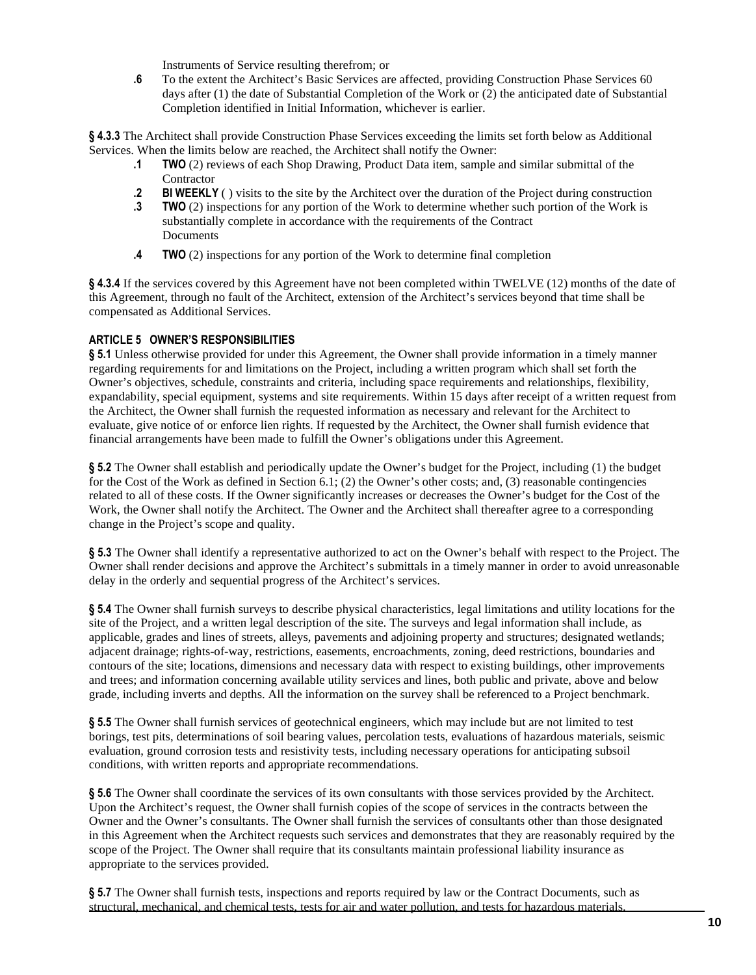Instruments of Service resulting therefrom; or

**.6** To the extent the Architect's Basic Services are affected, providing Construction Phase Services 60 days after (1) the date of Substantial Completion of the Work or (2) the anticipated date of Substantial Completion identified in Initial Information, whichever is earlier.

**§ 4.3.3** The Architect shall provide Construction Phase Services exceeding the limits set forth below as Additional Services. When the limits below are reached, the Architect shall notify the Owner:

- **.1 TWO** (2) reviews of each Shop Drawing, Product Data item, sample and similar submittal of the **Contractor**
- **.2** BIWEEKLY ( ) visits to the site by the Architect over the duration of the Project during construction
- **.3 TWO** (2) inspections for any portion of the Work to determine whether such portion of the Work is substantially complete in accordance with the requirements of the Contract **Documents**
- **.4 TWO** (2) inspections for any portion of the Work to determine final completion

**§ 4.3.4** If the services covered by this Agreement have not been completed within TWELVE (12) months of the date of this Agreement, through no fault of the Architect, extension of the Architect's services beyond that time shall be compensated as Additional Services.

#### **ARTICLE 5 OWNER'S RESPONSIBILITIES**

**§ 5.1** Unless otherwise provided for under this Agreement, the Owner shall provide information in a timely manner regarding requirements for and limitations on the Project, including a written program which shall set forth the Owner's objectives, schedule, constraints and criteria, including space requirements and relationships, flexibility, expandability, special equipment, systems and site requirements. Within 15 days after receipt of a written request from the Architect, the Owner shall furnish the requested information as necessary and relevant for the Architect to evaluate, give notice of or enforce lien rights. If requested by the Architect, the Owner shall furnish evidence that financial arrangements have been made to fulfill the Owner's obligations under this Agreement.

**§ 5.2** The Owner shall establish and periodically update the Owner's budget for the Project, including (1) the budget for the Cost of the Work as defined in Section 6.1; (2) the Owner's other costs; and, (3) reasonable contingencies related to all of these costs. If the Owner significantly increases or decreases the Owner's budget for the Cost of the Work, the Owner shall notify the Architect. The Owner and the Architect shall thereafter agree to a corresponding change in the Project's scope and quality.

**§ 5.3** The Owner shall identify a representative authorized to act on the Owner's behalf with respect to the Project. The Owner shall render decisions and approve the Architect's submittals in a timely manner in order to avoid unreasonable delay in the orderly and sequential progress of the Architect's services.

**§ 5.4** The Owner shall furnish surveys to describe physical characteristics, legal limitations and utility locations for the site of the Project, and a written legal description of the site. The surveys and legal information shall include, as applicable, grades and lines of streets, alleys, pavements and adjoining property and structures; designated wetlands; adjacent drainage; rights-of-way, restrictions, easements, encroachments, zoning, deed restrictions, boundaries and contours of the site; locations, dimensions and necessary data with respect to existing buildings, other improvements and trees; and information concerning available utility services and lines, both public and private, above and below grade, including inverts and depths. All the information on the survey shall be referenced to a Project benchmark.

**§ 5.5** The Owner shall furnish services of geotechnical engineers, which may include but are not limited to test borings, test pits, determinations of soil bearing values, percolation tests, evaluations of hazardous materials, seismic evaluation, ground corrosion tests and resistivity tests, including necessary operations for anticipating subsoil conditions, with written reports and appropriate recommendations.

**§ 5.6** The Owner shall coordinate the services of its own consultants with those services provided by the Architect. Upon the Architect's request, the Owner shall furnish copies of the scope of services in the contracts between the Owner and the Owner's consultants. The Owner shall furnish the services of consultants other than those designated in this Agreement when the Architect requests such services and demonstrates that they are reasonably required by the scope of the Project. The Owner shall require that its consultants maintain professional liability insurance as appropriate to the services provided.

**§ 5.7** The Owner shall furnish tests, inspections and reports required by law or the Contract Documents, such as structural, mechanical, and chemical tests, tests for air and water pollution, and tests for hazardous materials.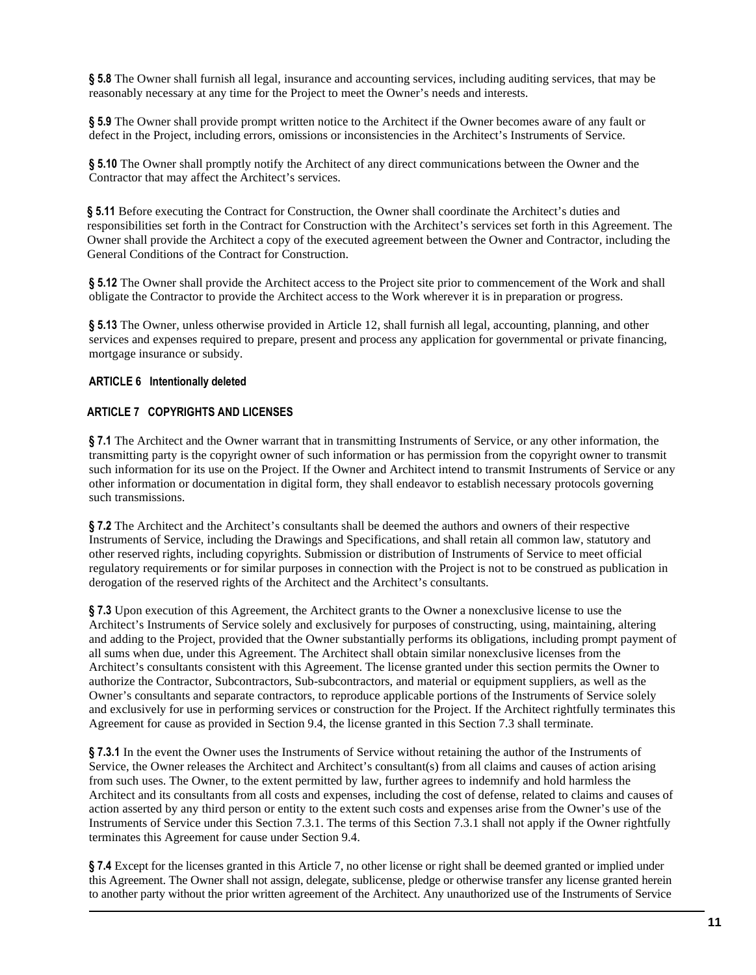**§ 5.8** The Owner shall furnish all legal, insurance and accounting services, including auditing services, that may be reasonably necessary at any time for the Project to meet the Owner's needs and interests.

**§ 5.9** The Owner shall provide prompt written notice to the Architect if the Owner becomes aware of any fault or defect in the Project, including errors, omissions or inconsistencies in the Architect's Instruments of Service.

**§ 5.10** The Owner shall promptly notify the Architect of any direct communications between the Owner and the Contractor that may affect the Architect's services.

**§ 5.11** Before executing the Contract for Construction, the Owner shall coordinate the Architect's duties and responsibilities set forth in the Contract for Construction with the Architect's services set forth in this Agreement. The Owner shall provide the Architect a copy of the executed agreement between the Owner and Contractor, including the General Conditions of the Contract for Construction.

**§ 5.12** The Owner shall provide the Architect access to the Project site prior to commencement of the Work and shall obligate the Contractor to provide the Architect access to the Work wherever it is in preparation or progress.

**§ 5.13** The Owner, unless otherwise provided in Article 12, shall furnish all legal, accounting, planning, and other services and expenses required to prepare, present and process any application for governmental or private financing, mortgage insurance or subsidy.

## **ARTICLE 6 Intentionally deleted**

#### **ARTICLE 7 COPYRIGHTS AND LICENSES**

**§ 7.1** The Architect and the Owner warrant that in transmitting Instruments of Service, or any other information, the transmitting party is the copyright owner of such information or has permission from the copyright owner to transmit such information for its use on the Project. If the Owner and Architect intend to transmit Instruments of Service or any other information or documentation in digital form, they shall endeavor to establish necessary protocols governing such transmissions.

**§ 7.2** The Architect and the Architect's consultants shall be deemed the authors and owners of their respective Instruments of Service, including the Drawings and Specifications, and shall retain all common law, statutory and other reserved rights, including copyrights. Submission or distribution of Instruments of Service to meet official regulatory requirements or for similar purposes in connection with the Project is not to be construed as publication in derogation of the reserved rights of the Architect and the Architect's consultants.

**§ 7.3** Upon execution of this Agreement, the Architect grants to the Owner a nonexclusive license to use the Architect's Instruments of Service solely and exclusively for purposes of constructing, using, maintaining, altering and adding to the Project, provided that the Owner substantially performs its obligations, including prompt payment of all sums when due, under this Agreement. The Architect shall obtain similar nonexclusive licenses from the Architect's consultants consistent with this Agreement. The license granted under this section permits the Owner to authorize the Contractor, Subcontractors, Sub-subcontractors, and material or equipment suppliers, as well as the Owner's consultants and separate contractors, to reproduce applicable portions of the Instruments of Service solely and exclusively for use in performing services or construction for the Project. If the Architect rightfully terminates this Agreement for cause as provided in Section 9.4, the license granted in this Section 7.3 shall terminate.

**§ 7.3.1** In the event the Owner uses the Instruments of Service without retaining the author of the Instruments of Service, the Owner releases the Architect and Architect's consultant(s) from all claims and causes of action arising from such uses. The Owner, to the extent permitted by law, further agrees to indemnify and hold harmless the Architect and its consultants from all costs and expenses, including the cost of defense, related to claims and causes of action asserted by any third person or entity to the extent such costs and expenses arise from the Owner's use of the Instruments of Service under this Section 7.3.1. The terms of this Section 7.3.1 shall not apply if the Owner rightfully terminates this Agreement for cause under Section 9.4.

**§ 7.4** Except for the licenses granted in this Article 7, no other license or right shall be deemed granted or implied under this Agreement. The Owner shall not assign, delegate, sublicense, pledge or otherwise transfer any license granted herein to another party without the prior written agreement of the Architect. Any unauthorized use of the Instruments of Service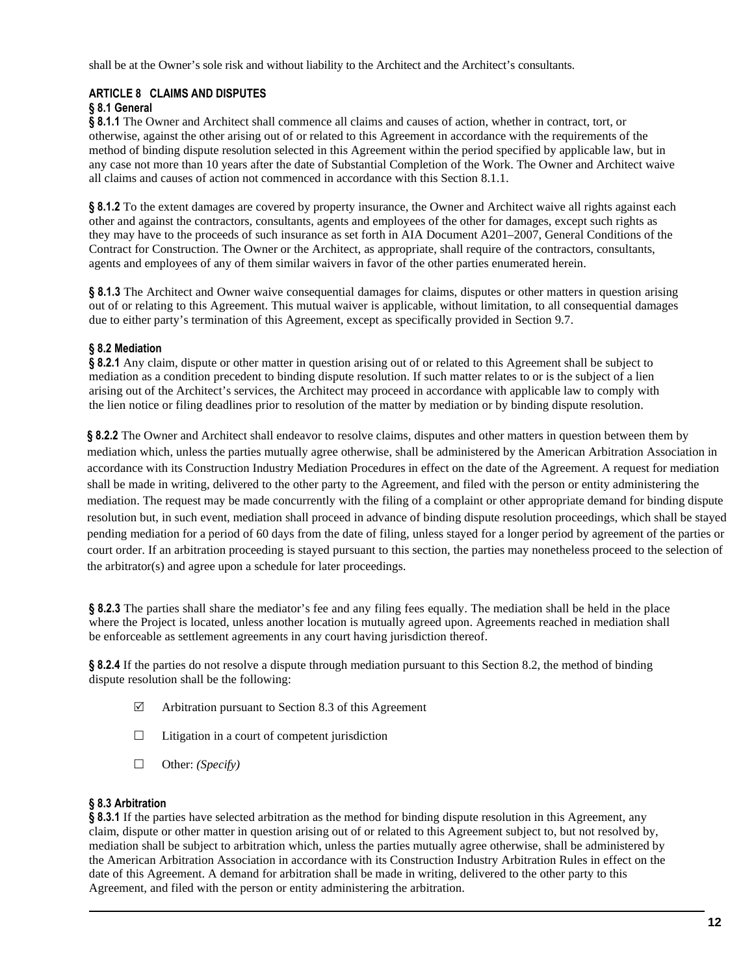shall be at the Owner's sole risk and without liability to the Architect and the Architect's consultants.

## **ARTICLE 8 CLAIMS AND DISPUTES**

## **§ 8.1 General**

**§ 8.1.1** The Owner and Architect shall commence all claims and causes of action, whether in contract, tort, or otherwise, against the other arising out of or related to this Agreement in accordance with the requirements of the method of binding dispute resolution selected in this Agreement within the period specified by applicable law, but in any case not more than 10 years after the date of Substantial Completion of the Work. The Owner and Architect waive all claims and causes of action not commenced in accordance with this Section 8.1.1.

**§ 8.1.2** To the extent damages are covered by property insurance, the Owner and Architect waive all rights against each other and against the contractors, consultants, agents and employees of the other for damages, except such rights as they may have to the proceeds of such insurance as set forth in AIA Document A201–2007, General Conditions of the Contract for Construction. The Owner or the Architect, as appropriate, shall require of the contractors, consultants, agents and employees of any of them similar waivers in favor of the other parties enumerated herein.

**§ 8.1.3** The Architect and Owner waive consequential damages for claims, disputes or other matters in question arising out of or relating to this Agreement. This mutual waiver is applicable, without limitation, to all consequential damages due to either party's termination of this Agreement, except as specifically provided in Section 9.7.

## **§ 8.2 Mediation**

**§ 8.2.1** Any claim, dispute or other matter in question arising out of or related to this Agreement shall be subject to mediation as a condition precedent to binding dispute resolution. If such matter relates to or is the subject of a lien arising out of the Architect's services, the Architect may proceed in accordance with applicable law to comply with the lien notice or filing deadlines prior to resolution of the matter by mediation or by binding dispute resolution.

**§ 8.2.2** The Owner and Architect shall endeavor to resolve claims, disputes and other matters in question between them by mediation which, unless the parties mutually agree otherwise, shall be administered by the American Arbitration Association in accordance with its Construction Industry Mediation Procedures in effect on the date of the Agreement. A request for mediation shall be made in writing, delivered to the other party to the Agreement, and filed with the person or entity administering the mediation. The request may be made concurrently with the filing of a complaint or other appropriate demand for binding dispute resolution but, in such event, mediation shall proceed in advance of binding dispute resolution proceedings, which shall be stayed pending mediation for a period of 60 days from the date of filing, unless stayed for a longer period by agreement of the parties or court order. If an arbitration proceeding is stayed pursuant to this section, the parties may nonetheless proceed to the selection of the arbitrator(s) and agree upon a schedule for later proceedings.

**§ 8.2.3** The parties shall share the mediator's fee and any filing fees equally. The mediation shall be held in the place where the Project is located, unless another location is mutually agreed upon. Agreements reached in mediation shall be enforceable as settlement agreements in any court having jurisdiction thereof.

**§ 8.2.4** If the parties do not resolve a dispute through mediation pursuant to this Section 8.2, the method of binding dispute resolution shall be the following:

- $\boxtimes$  Arbitration pursuant to Section 8.3 of this Agreement
- $\Box$  Litigation in a court of competent jurisdiction
- □ Other: *(Specify)*

#### **§ 8.3 Arbitration**

**§ 8.3.1** If the parties have selected arbitration as the method for binding dispute resolution in this Agreement, any claim, dispute or other matter in question arising out of or related to this Agreement subject to, but not resolved by, mediation shall be subject to arbitration which, unless the parties mutually agree otherwise, shall be administered by the American Arbitration Association in accordance with its Construction Industry Arbitration Rules in effect on the date of this Agreement. A demand for arbitration shall be made in writing, delivered to the other party to this Agreement, and filed with the person or entity administering the arbitration.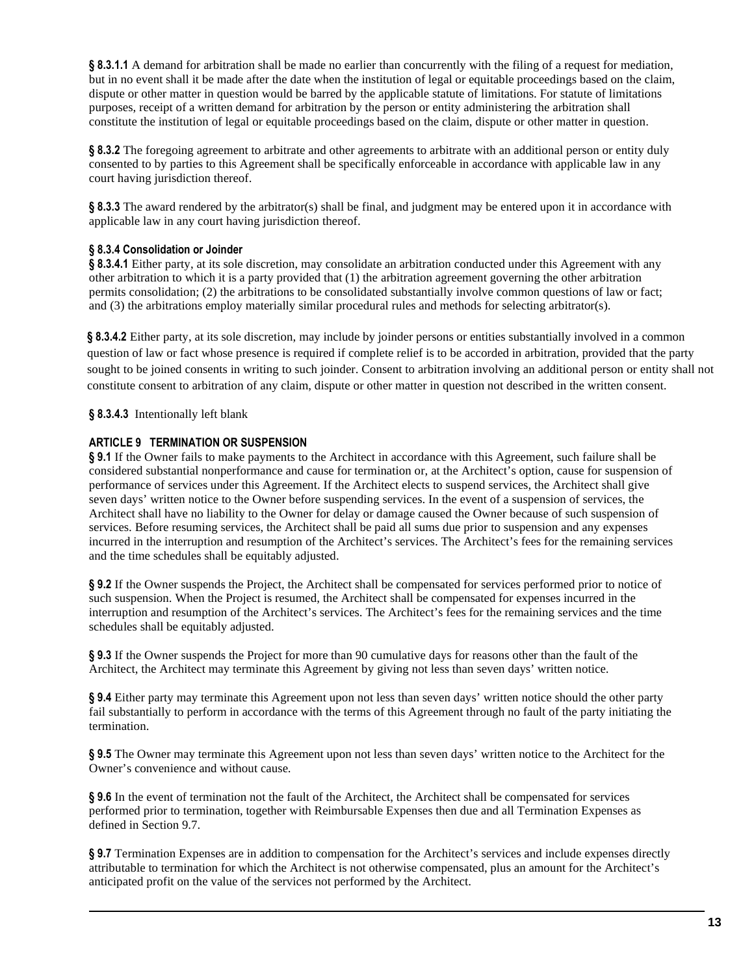**§ 8.3.1.1** A demand for arbitration shall be made no earlier than concurrently with the filing of a request for mediation, but in no event shall it be made after the date when the institution of legal or equitable proceedings based on the claim, dispute or other matter in question would be barred by the applicable statute of limitations. For statute of limitations purposes, receipt of a written demand for arbitration by the person or entity administering the arbitration shall constitute the institution of legal or equitable proceedings based on the claim, dispute or other matter in question.

§ 8.3.2 The foregoing agreement to arbitrate and other agreements to arbitrate with an additional person or entity duly consented to by parties to this Agreement shall be specifically enforceable in accordance with applicable law in any court having jurisdiction thereof.

**§ 8.3.3** The award rendered by the arbitrator(s) shall be final, and judgment may be entered upon it in accordance with applicable law in any court having jurisdiction thereof.

## **§ 8.3.4 Consolidation or Joinder**

**§ 8.3.4.1** Either party, at its sole discretion, may consolidate an arbitration conducted under this Agreement with any other arbitration to which it is a party provided that (1) the arbitration agreement governing the other arbitration permits consolidation; (2) the arbitrations to be consolidated substantially involve common questions of law or fact; and (3) the arbitrations employ materially similar procedural rules and methods for selecting arbitrator(s).

**§ 8.3.4.2** Either party, at its sole discretion, may include by joinder persons or entities substantially involved in a common question of law or fact whose presence is required if complete relief is to be accorded in arbitration, provided that the party sought to be joined consents in writing to such joinder. Consent to arbitration involving an additional person or entity shall not constitute consent to arbitration of any claim, dispute or other matter in question not described in the written consent.

## **§ 8.3.4.3** Intentionally left blank

## **ARTICLE 9 TERMINATION OR SUSPENSION**

**§ 9.1** If the Owner fails to make payments to the Architect in accordance with this Agreement, such failure shall be considered substantial nonperformance and cause for termination or, at the Architect's option, cause for suspension of performance of services under this Agreement. If the Architect elects to suspend services, the Architect shall give seven days' written notice to the Owner before suspending services. In the event of a suspension of services, the Architect shall have no liability to the Owner for delay or damage caused the Owner because of such suspension of services. Before resuming services, the Architect shall be paid all sums due prior to suspension and any expenses incurred in the interruption and resumption of the Architect's services. The Architect's fees for the remaining services and the time schedules shall be equitably adjusted.

**§ 9.2** If the Owner suspends the Project, the Architect shall be compensated for services performed prior to notice of such suspension. When the Project is resumed, the Architect shall be compensated for expenses incurred in the interruption and resumption of the Architect's services. The Architect's fees for the remaining services and the time schedules shall be equitably adjusted.

**§ 9.3** If the Owner suspends the Project for more than 90 cumulative days for reasons other than the fault of the Architect, the Architect may terminate this Agreement by giving not less than seven days' written notice.

**§ 9.4** Either party may terminate this Agreement upon not less than seven days' written notice should the other party fail substantially to perform in accordance with the terms of this Agreement through no fault of the party initiating the termination.

**§ 9.5** The Owner may terminate this Agreement upon not less than seven days' written notice to the Architect for the Owner's convenience and without cause.

**§ 9.6** In the event of termination not the fault of the Architect, the Architect shall be compensated for services performed prior to termination, together with Reimbursable Expenses then due and all Termination Expenses as defined in Section 9.7.

**§ 9.7** Termination Expenses are in addition to compensation for the Architect's services and include expenses directly attributable to termination for which the Architect is not otherwise compensated, plus an amount for the Architect's anticipated profit on the value of the services not performed by the Architect.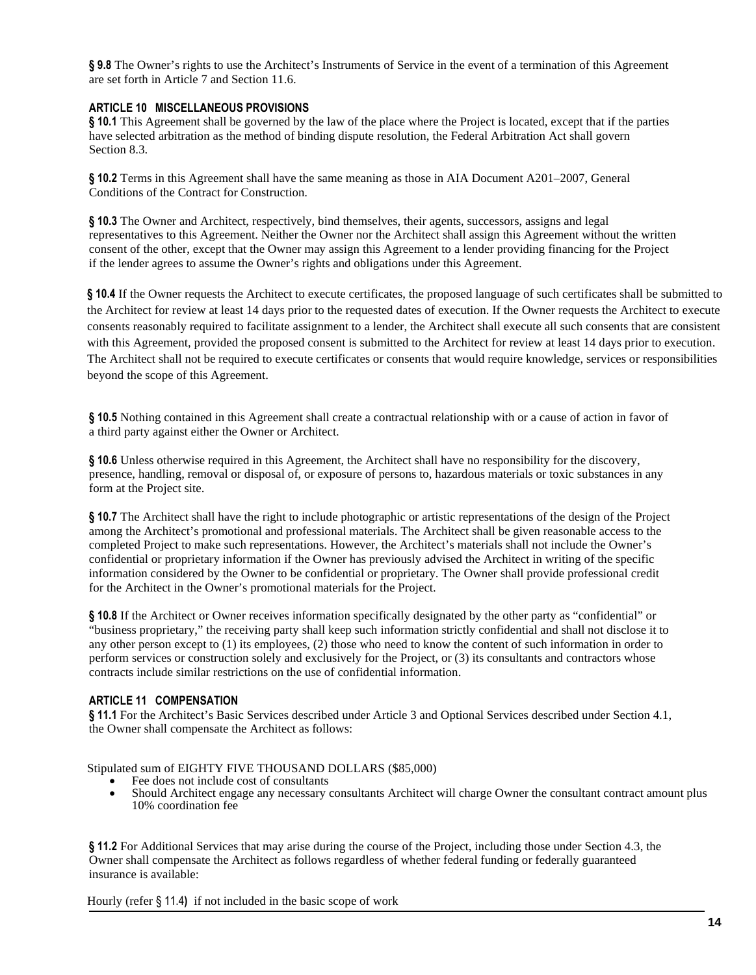**§ 9.8** The Owner's rights to use the Architect's Instruments of Service in the event of a termination of this Agreement are set forth in Article 7 and Section 11.6.

#### **ARTICLE 10 MISCELLANEOUS PROVISIONS**

**§ 10.1** This Agreement shall be governed by the law of the place where the Project is located, except that if the parties have selected arbitration as the method of binding dispute resolution, the Federal Arbitration Act shall govern Section 8.3.

**§ 10.2** Terms in this Agreement shall have the same meaning as those in AIA Document A201–2007, General Conditions of the Contract for Construction.

**§ 10.3** The Owner and Architect, respectively, bind themselves, their agents, successors, assigns and legal representatives to this Agreement. Neither the Owner nor the Architect shall assign this Agreement without the written consent of the other, except that the Owner may assign this Agreement to a lender providing financing for the Project if the lender agrees to assume the Owner's rights and obligations under this Agreement.

**§ 10.4** If the Owner requests the Architect to execute certificates, the proposed language of such certificates shall be submitted to the Architect for review at least 14 days prior to the requested dates of execution. If the Owner requests the Architect to execute consents reasonably required to facilitate assignment to a lender, the Architect shall execute all such consents that are consistent with this Agreement, provided the proposed consent is submitted to the Architect for review at least 14 days prior to execution. The Architect shall not be required to execute certificates or consents that would require knowledge, services or responsibilities beyond the scope of this Agreement.

**§ 10.5** Nothing contained in this Agreement shall create a contractual relationship with or a cause of action in favor of a third party against either the Owner or Architect.

**§ 10.6** Unless otherwise required in this Agreement, the Architect shall have no responsibility for the discovery, presence, handling, removal or disposal of, or exposure of persons to, hazardous materials or toxic substances in any form at the Project site.

**§ 10.7** The Architect shall have the right to include photographic or artistic representations of the design of the Project among the Architect's promotional and professional materials. The Architect shall be given reasonable access to the completed Project to make such representations. However, the Architect's materials shall not include the Owner's confidential or proprietary information if the Owner has previously advised the Architect in writing of the specific information considered by the Owner to be confidential or proprietary. The Owner shall provide professional credit for the Architect in the Owner's promotional materials for the Project.

**§ 10.8** If the Architect or Owner receives information specifically designated by the other party as "confidential" or "business proprietary," the receiving party shall keep such information strictly confidential and shall not disclose it to any other person except to (1) its employees, (2) those who need to know the content of such information in order to perform services or construction solely and exclusively for the Project, or (3) its consultants and contractors whose contracts include similar restrictions on the use of confidential information.

#### **ARTICLE 11 COMPENSATION**

§ 11.1 For the Architect's Basic Services described under Article 3 and Optional Services described under Section 4.1, the Owner shall compensate the Architect as follows:

Stipulated sum of EIGHTY FIVE THOUSAND DOLLARS (\$85,000)

- Fee does not include cost of consultants
- Should Architect engage any necessary consultants Architect will charge Owner the consultant contract amount plus 10% coordination fee

**§ 11.2** For Additional Services that may arise during the course of the Project, including those under Section 4.3, the Owner shall compensate the Architect as follows regardless of whether federal funding or federally guaranteed insurance is available:

Hourly (refer § 11.4**)** if not included in the basic scope of work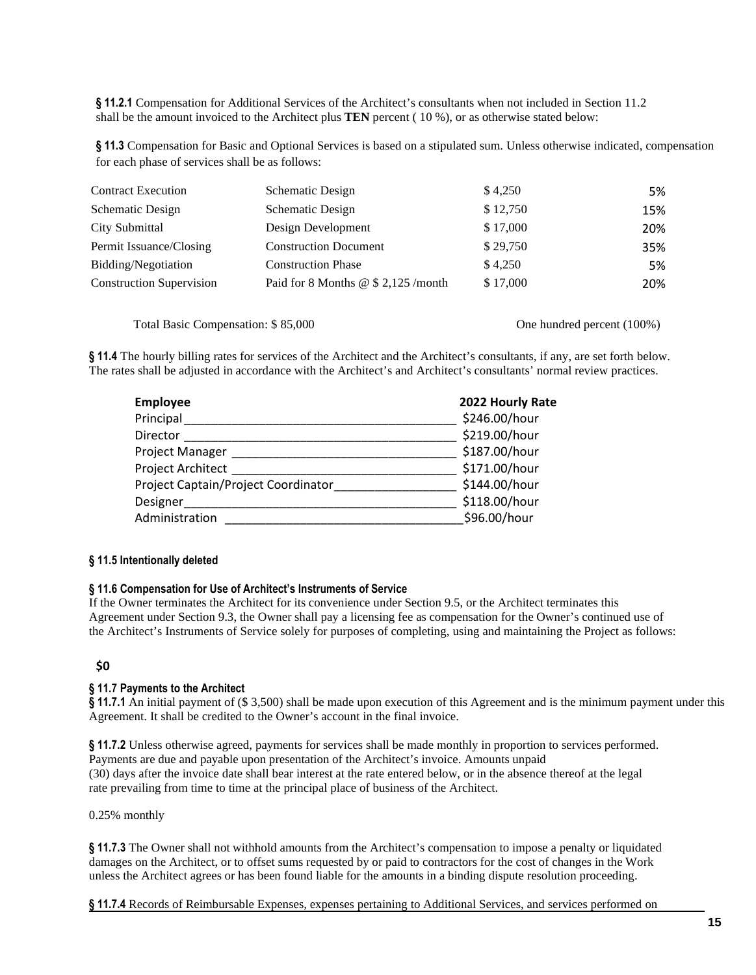**§ 11.2.1** Compensation for Additional Services of the Architect's consultants when not included in Section 11.2 shall be the amount invoiced to the Architect plus **TEN** percent ( 10 %), or as otherwise stated below:

**§ 11.3** Compensation for Basic and Optional Services is based on a stipulated sum. Unless otherwise indicated, compensation for each phase of services shall be as follows:

| <b>Contract Execution</b>       | Schematic Design                    | \$4,250  | 5%  |
|---------------------------------|-------------------------------------|----------|-----|
| Schematic Design                | Schematic Design                    | \$12,750 | 15% |
| City Submittal                  | Design Development                  | \$17,000 | 20% |
| Permit Issuance/Closing         | <b>Construction Document</b>        | \$29,750 | 35% |
| Bidding/Negotiation             | <b>Construction Phase</b>           | \$4,250  | 5%  |
| <b>Construction Supervision</b> | Paid for 8 Months @ \$ 2,125 /month | \$17,000 | 20% |

Total Basic Compensation:  $$85,000$  One hundred percent (100%)

**§ 11.4** The hourly billing rates for services of the Architect and the Architect's consultants, if any, are set forth below. The rates shall be adjusted in accordance with the Architect's and Architect's consultants' normal review practices.

| <b>Employee</b>                     | 2022 Hourly Rate |
|-------------------------------------|------------------|
| Principal                           | \$246.00/hour    |
| Director                            | \$219.00/hour    |
| Project Manager                     | \$187.00/hour    |
| Project Architect                   | \$171.00/hour    |
| Project Captain/Project Coordinator | \$144.00/hour    |
| Designer                            | \$118.00/hour    |
| Administration                      | \$96.00/hour     |

#### **§ 11.5 Intentionally deleted**

#### **§ 11.6 Compensation for Use of Architect's Instruments of Service**

If the Owner terminates the Architect for its convenience under Section 9.5, or the Architect terminates this Agreement under Section 9.3, the Owner shall pay a licensing fee as compensation for the Owner's continued use of the Architect's Instruments of Service solely for purposes of completing, using and maintaining the Project as follows:

# **\$0**

#### **§ 11.7 Payments to the Architect**

**§ 11.7.1** An initial payment of (\$ 3,500) shall be made upon execution of this Agreement and is the minimum payment under this Agreement. It shall be credited to the Owner's account in the final invoice.

**§ 11.7.2** Unless otherwise agreed, payments for services shall be made monthly in proportion to services performed. Payments are due and payable upon presentation of the Architect's invoice. Amounts unpaid (30) days after the invoice date shall bear interest at the rate entered below, or in the absence thereof at the legal rate prevailing from time to time at the principal place of business of the Architect.

0.25% monthly

**§ 11.7.3** The Owner shall not withhold amounts from the Architect's compensation to impose a penalty or liquidated damages on the Architect, or to offset sums requested by or paid to contractors for the cost of changes in the Work unless the Architect agrees or has been found liable for the amounts in a binding dispute resolution proceeding.

**§ 11.7.4** Records of Reimbursable Expenses, expenses pertaining to Additional Services, and services performed on